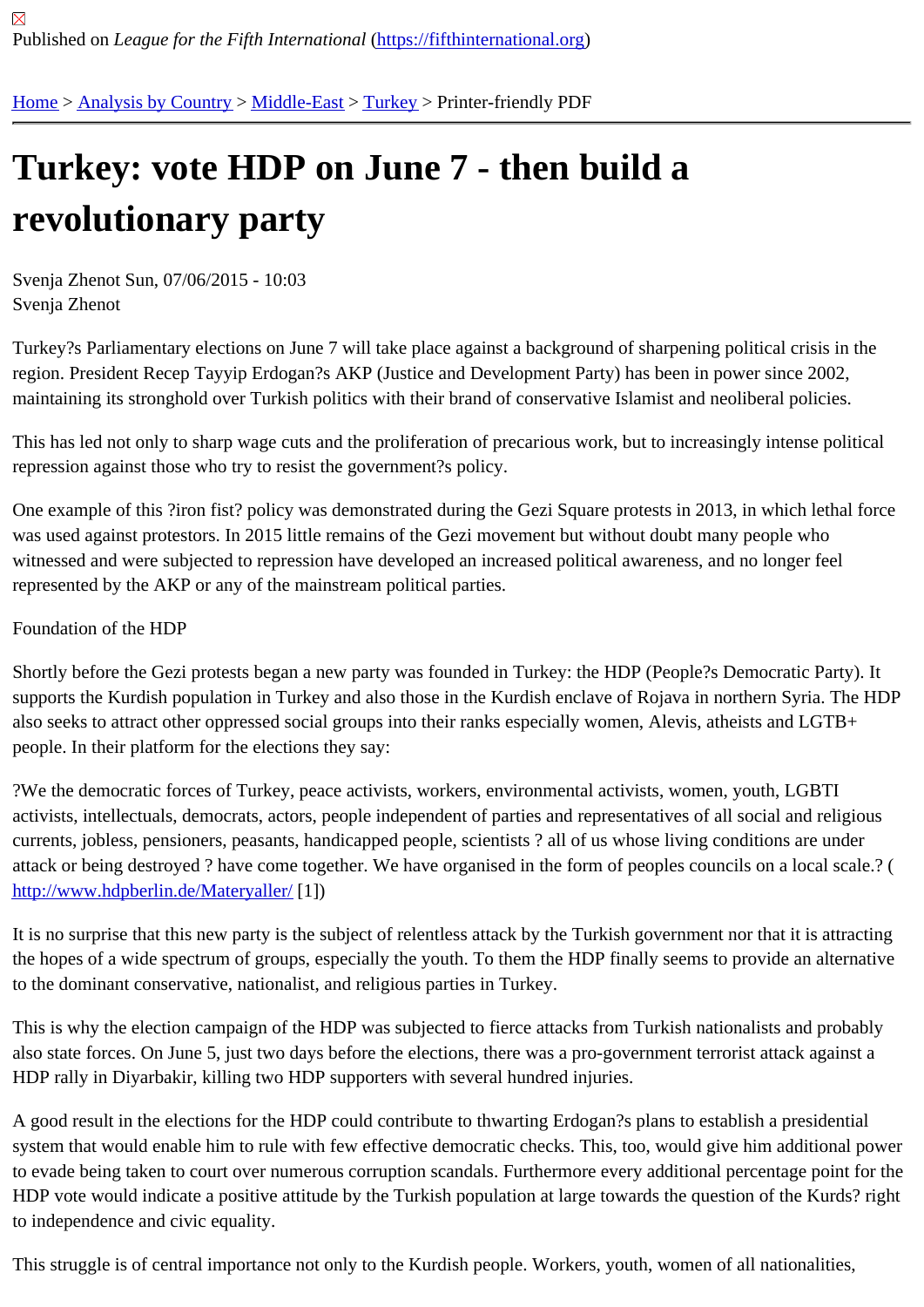## [Tur](https://fifthinternational.org/)[key: vote H](https://fifthinternational.org/category/1)[DP on](https://fifthinternational.org/category/1/178) [Jun](https://fifthinternational.org/category/1/178/174)e 7 - then build a revolutionary party

Svenja Zhenot Sun, 07/06/2015 - 10:03 Svenja Zhenot

Turkey?s Parliamentary elections on June 7 will take place against a background of sharpening political crisis in the region. President Recep Tayyip Erdogan?s AKP (Justice and Development Party) has been in power since 2002, maintaining its stronghold over Turkish politics with their brand of conservative Islamist and neoliberal policies.

This has led not only to sharp wage cuts and the proliferation of precarious work, but to increasingly intense politic repression against those who try to resist the government?s policy.

One example of this ?iron fist? policy was demonstrated during the Gezi Square protests in 2013, in which lethal fo was used against protestors. In 2015 little remains of the Gezi movement but without doubt many people who witnessed and were subjected to repression have developed an increased political awareness, and no longer feel represented by the AKP or any of the mainstream political parties.

## Foundation of the HDP

Shortly before the Gezi protests began a new party was founded in Turkey: the HDP (People?s Democratic Party). supports the Kurdish population in Turkey and also those in the Kurdish enclave of Rojava in northern Syria. The H also seeks to attract other oppressed social groups into their ranks especially women, Alevis, atheists and LGTB+ people. In their platform for the elections they say:

?We the democratic forces of Turkey, peace activists, workers, environmental activists, women, youth, LGBTI activists, intellectuals, democrats, actors, people independent of parties and representatives of all social and religious currents, jobless, pensioners, peasants, handicapped people, scientists ? all of us whose living conditions are und attack or being destroyed ? have come together. We have organised in the form of peoples councils on a local sca http://www.hdpberlin.de/Materyaller1])

It is no surprise that this new party is the subject of relentless attack by the Turkish government nor that it is attraction [the hopes of a wide spectrum of gr](http://www.hdpberlin.de/Materyaller/)oups, especially the youth. To them the HDP finally seems to provide an alterna to the dominant conservative, nationalist, and religious parties in Turkey.

This is why the election campaign of the HDP was subjected to fierce attacks from Turkish nationalists and probab also state forces. On June 5, just two days before the elections, there was a pro-government terrorist attack again HDP rally in Diyarbakir, killing two HDP supporters with several hundred injuries.

A good result in the elections for the HDP could contribute to thwarting Erdogan?s plans to establish a presidential system that would enable him to rule with few effective democratic checks. This, too, would give him additional pow to evade being taken to court over numerous corruption scandals. Furthermore every additional percentage point f HDP vote would indicate a positive attitude by the Turkish population at large towards the question of the Kurds? r to independence and civic equality.

This struggle is of central importance not only to the Kurdish people. Workers, youth, women of all nationalities,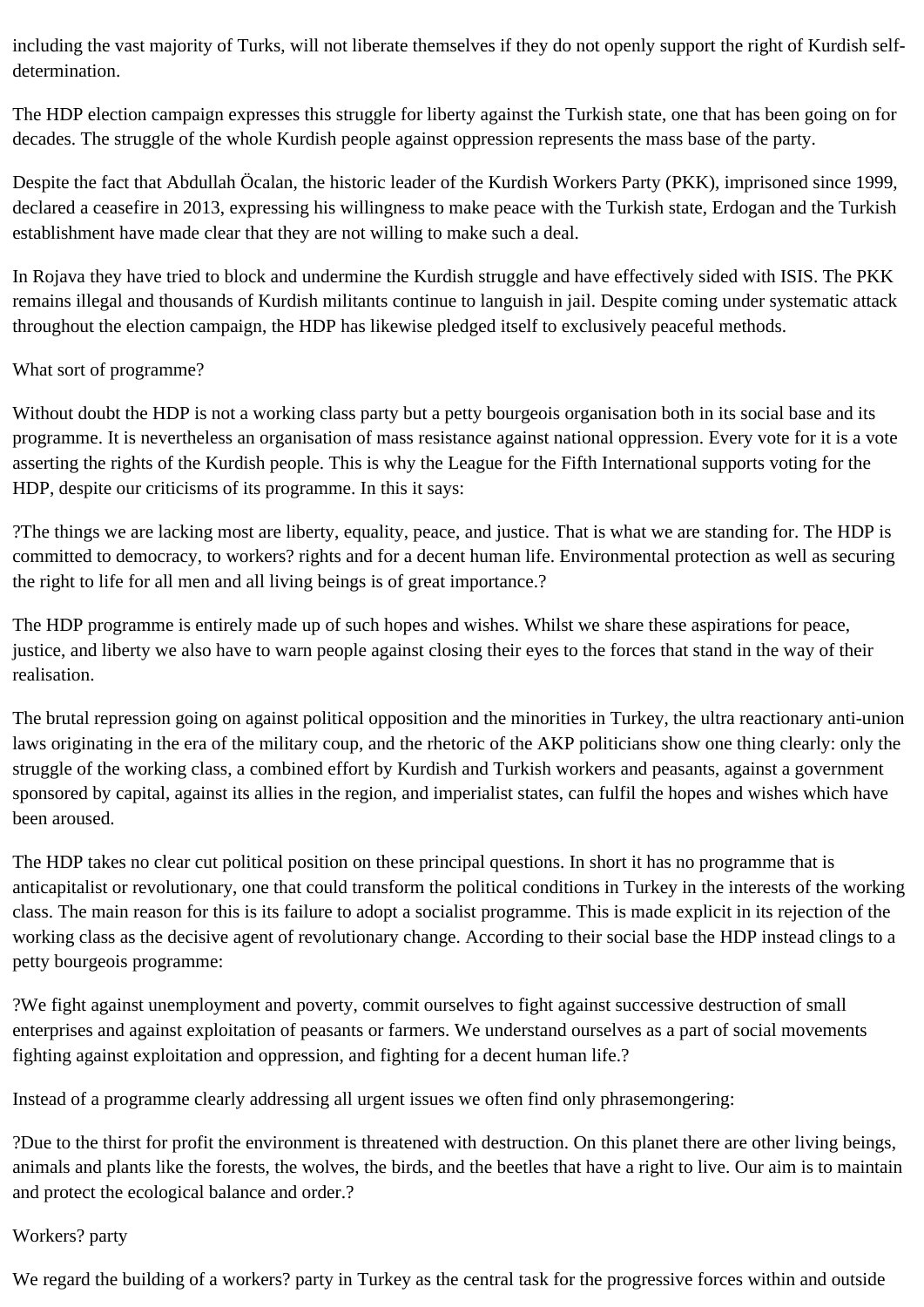including the vast majority of Turks, will not liberate themselves if they do not openly support the right of Kurdish selfdetermination.

The HDP election campaign expresses this struggle for liberty against the Turkish state, one that has been going on for decades. The struggle of the whole Kurdish people against oppression represents the mass base of the party.

Despite the fact that Abdullah Öcalan, the historic leader of the Kurdish Workers Party (PKK), imprisoned since 1999, declared a ceasefire in 2013, expressing his willingness to make peace with the Turkish state, Erdogan and the Turkish establishment have made clear that they are not willing to make such a deal.

In Rojava they have tried to block and undermine the Kurdish struggle and have effectively sided with ISIS. The PKK remains illegal and thousands of Kurdish militants continue to languish in jail. Despite coming under systematic attack throughout the election campaign, the HDP has likewise pledged itself to exclusively peaceful methods.

## What sort of programme?

Without doubt the HDP is not a working class party but a petty bourgeois organisation both in its social base and its programme. It is nevertheless an organisation of mass resistance against national oppression. Every vote for it is a vote asserting the rights of the Kurdish people. This is why the League for the Fifth International supports voting for the HDP, despite our criticisms of its programme. In this it says:

?The things we are lacking most are liberty, equality, peace, and justice. That is what we are standing for. The HDP is committed to democracy, to workers? rights and for a decent human life. Environmental protection as well as securing the right to life for all men and all living beings is of great importance.?

The HDP programme is entirely made up of such hopes and wishes. Whilst we share these aspirations for peace, justice, and liberty we also have to warn people against closing their eyes to the forces that stand in the way of their realisation.

The brutal repression going on against political opposition and the minorities in Turkey, the ultra reactionary anti-union laws originating in the era of the military coup, and the rhetoric of the AKP politicians show one thing clearly: only the struggle of the working class, a combined effort by Kurdish and Turkish workers and peasants, against a government sponsored by capital, against its allies in the region, and imperialist states, can fulfil the hopes and wishes which have been aroused.

The HDP takes no clear cut political position on these principal questions. In short it has no programme that is anticapitalist or revolutionary, one that could transform the political conditions in Turkey in the interests of the working class. The main reason for this is its failure to adopt a socialist programme. This is made explicit in its rejection of the working class as the decisive agent of revolutionary change. According to their social base the HDP instead clings to a petty bourgeois programme:

?We fight against unemployment and poverty, commit ourselves to fight against successive destruction of small enterprises and against exploitation of peasants or farmers. We understand ourselves as a part of social movements fighting against exploitation and oppression, and fighting for a decent human life.?

Instead of a programme clearly addressing all urgent issues we often find only phrasemongering:

?Due to the thirst for profit the environment is threatened with destruction. On this planet there are other living beings, animals and plants like the forests, the wolves, the birds, and the beetles that have a right to live. Our aim is to maintain and protect the ecological balance and order.?

## Workers? party

We regard the building of a workers? party in Turkey as the central task for the progressive forces within and outside